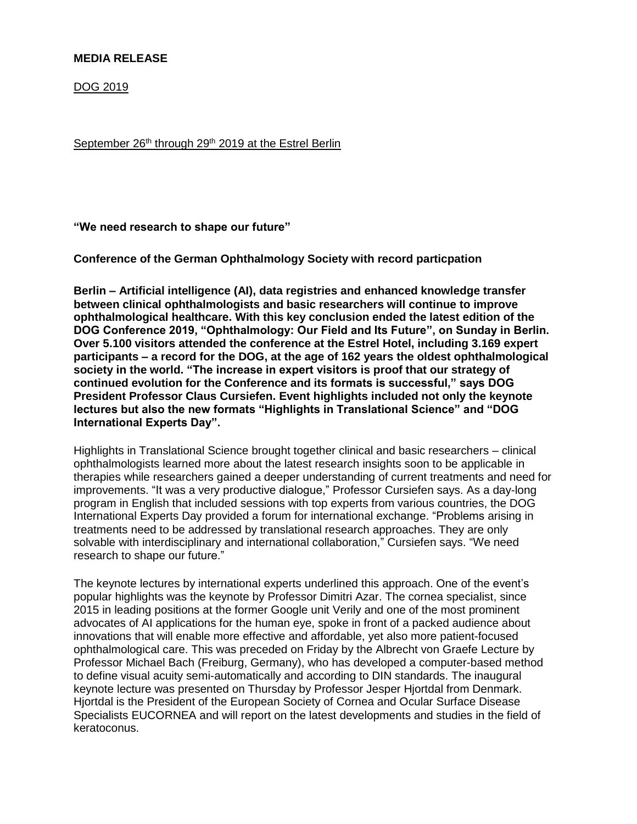## **MEDIA RELEASE**

DOG 2019

September 26<sup>th</sup> through 29<sup>th</sup> 2019 at the Estrel Berlin

**"We need research to shape our future"**

**Conference of the German Ophthalmology Society with record particpation**

**Berlin – Artificial intelligence (AI), data registries and enhanced knowledge transfer between clinical ophthalmologists and basic researchers will continue to improve ophthalmological healthcare. With this key conclusion ended the latest edition of the DOG Conference 2019, "Ophthalmology: Our Field and Its Future", on Sunday in Berlin. Over 5.100 visitors attended the conference at the Estrel Hotel, including 3.169 expert participants – a record for the DOG, at the age of 162 years the oldest ophthalmological society in the world. "The increase in expert visitors is proof that our strategy of continued evolution for the Conference and its formats is successful," says DOG President Professor Claus Cursiefen. Event highlights included not only the keynote lectures but also the new formats "Highlights in Translational Science" and "DOG International Experts Day".**

Highlights in Translational Science brought together clinical and basic researchers – clinical ophthalmologists learned more about the latest research insights soon to be applicable in therapies while researchers gained a deeper understanding of current treatments and need for improvements. "It was a very productive dialogue," Professor Cursiefen says. As a day-long program in English that included sessions with top experts from various countries, the DOG International Experts Day provided a forum for international exchange. "Problems arising in treatments need to be addressed by translational research approaches. They are only solvable with interdisciplinary and international collaboration," Cursiefen says. "We need research to shape our future."

The keynote lectures by international experts underlined this approach. One of the event's popular highlights was the keynote by Professor Dimitri Azar. The cornea specialist, since 2015 in leading positions at the former Google unit Verily and one of the most prominent advocates of AI applications for the human eye, spoke in front of a packed audience about innovations that will enable more effective and affordable, yet also more patient-focused ophthalmological care. This was preceded on Friday by the Albrecht von Graefe Lecture by Professor Michael Bach (Freiburg, Germany), who has developed a computer-based method to define visual acuity semi-automatically and according to DIN standards. The inaugural keynote lecture was presented on Thursday by Professor Jesper Hjortdal from Denmark. Hjortdal is the President of the European Society of Cornea and Ocular Surface Disease Specialists EUCORNEA and will report on the latest developments and studies in the field of keratoconus.